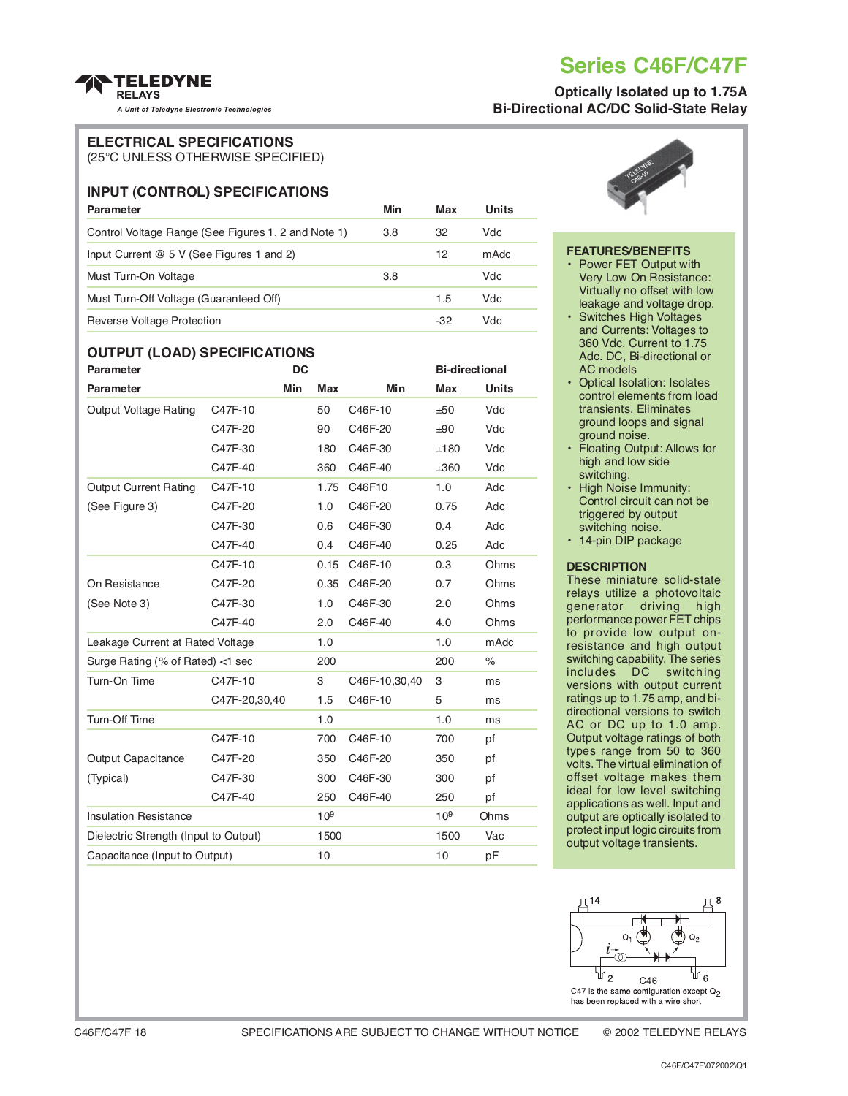## **Series C46F/C47F**

## **Optically Isolated up to 1.75A Bi-Directional AC/DC Solid-State Relay**

#### **TELEDYNE RELAYS**

A Unit of Teledyne Electronic Technologies

#### **ELECTRICAL SPECIFICATIONS**

(25°C UNLESS OTHERWISE SPECIFIED)

## **INPUT (CONTROL) SPECIFICATIONS**

| <b>Parameter</b>                                    | Min | Max | Units |
|-----------------------------------------------------|-----|-----|-------|
| Control Voltage Range (See Figures 1, 2 and Note 1) | 3.8 | 32  | Vdc   |
| Input Current $@5V$ (See Figures 1 and 2)           |     | 12  | mAdc  |
| Must Turn-On Voltage                                | 3.8 |     | Vdc   |
| Must Turn-Off Voltage (Guaranteed Off)              |     | 1.5 | Vdc   |
| Reverse Voltage Protection                          |     | -32 | Vdc   |

## **OUTPUT (LOAD) SPECIFICATIONS**

| <b>Parameter</b>                      | <b>DC</b>     |     |                 | <b>Bi-directional</b> |                 |              |
|---------------------------------------|---------------|-----|-----------------|-----------------------|-----------------|--------------|
| <b>Parameter</b>                      |               | Min | <b>Max</b>      | <b>Min</b>            | <b>Max</b>      | <b>Units</b> |
| <b>Output Voltage Rating</b>          | C47F-10       |     | 50              | C46F-10               | ±50             | Vdc          |
|                                       | C47F-20       |     | 90              | C46F-20               | ±90             | Vdc          |
|                                       | C47F-30       |     | 180             | C46F-30               | ±180            | Vdc          |
|                                       | C47F-40       |     | 360             | C46F-40               | ±360            | Vdc          |
| <b>Output Current Rating</b>          | C47F-10       |     | 1.75            | C46F10                | 1.0             | Adc          |
| (See Figure 3)                        | C47F-20       |     | 1.0             | C46F-20               | 0.75            | Adc          |
|                                       | C47F-30       |     | 0.6             | C46F-30               | 0.4             | Adc          |
|                                       | C47F-40       |     | 0.4             | C46F-40               | 0.25            | Adc          |
|                                       | C47F-10       |     | 0.15            | C46F-10               | 0.3             | Ohms         |
| On Resistance                         | C47F-20       |     | 0.35            | C46F-20               | 0.7             | Ohms         |
| (See Note 3)                          | C47F-30       |     | 1.0             | C46F-30               | 2.0             | Ohms         |
|                                       | C47F-40       |     | 2.0             | C46F-40               | 4.0             | Ohms         |
| Leakage Current at Rated Voltage      |               | 1.0 |                 | 1.0                   | mAdc            |              |
| Surge Rating (% of Rated) <1 sec      |               |     | 200             |                       | 200             | $\%$         |
| Turn-On Time                          | C47F-10       |     | 3               | C46F-10,30,40         | 3               | ms           |
|                                       | C47F-20,30,40 |     | 1.5             | C46F-10               | 5               | ms           |
| Turn-Off Time                         |               |     | 1.0             |                       | 1.0             | ms           |
|                                       | C47F-10       |     | 700             | C46F-10               | 700             | pf           |
| <b>Output Capacitance</b>             | C47F-20       |     | 350             | C46F-20               | 350             | pf           |
| (Typical)                             | C47F-30       |     | 300             | C46F-30               | 300             | pf           |
|                                       | C47F-40       |     | 250             | C46F-40               | 250             | pf           |
| <b>Insulation Resistance</b>          |               |     | 10 <sup>9</sup> |                       | 10 <sup>9</sup> | Ohms         |
| Dielectric Strength (Input to Output) |               |     | 1500            |                       | 1500            | Vac          |
| Capacitance (Input to Output)         |               |     | 10              |                       | 10              | pF           |



#### **FEATURES/BENEFITS**

- Power FET Output with Very Low On Resistance: Virtually no offset with low leakage and voltage drop.
- Switches High Voltages and Currents: Voltages to 360 Vdc. Current to 1.75 Adc. DC, Bi-directional or AC models
- Optical Isolation: Isolates control elements from load transients. Eliminates ground loops and signal ground noise.
- Floating Output: Allows for high and low side switching.
- High Noise Immunity: Control circuit can not be triggered by output switching noise.
- 14-pin DIP package

#### **DESCRIPTION**

These miniature solid-state relays utilize a photovoltaic generator driving high performance power FET chips to provide low output onresistance and high output switching capability. The series<br>includes DC switching  $include$   $DC$ versions with output current ratings up to 1.75 amp, and bidirectional versions to switch AC or DC up to 1.0 amp. Output voltage ratings of both types range from 50 to 360 volts. The virtual elimination of offset voltage makes them ideal for low level switching applications as well. Input and output are optically isolated to protect input logic circuits from output voltage transients.